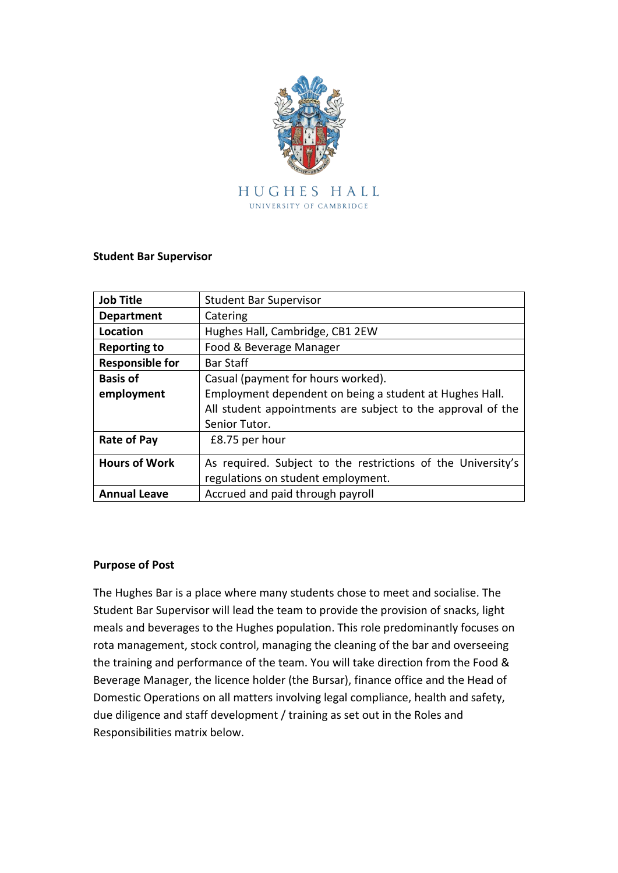

### **Student Bar Supervisor**

| <b>Job Title</b>       | <b>Student Bar Supervisor</b>                                |  |
|------------------------|--------------------------------------------------------------|--|
| <b>Department</b>      | Catering                                                     |  |
| Location               | Hughes Hall, Cambridge, CB1 2EW                              |  |
| <b>Reporting to</b>    | Food & Beverage Manager                                      |  |
| <b>Responsible for</b> | <b>Bar Staff</b>                                             |  |
| <b>Basis of</b>        | Casual (payment for hours worked).                           |  |
| employment             | Employment dependent on being a student at Hughes Hall.      |  |
|                        | All student appointments are subject to the approval of the  |  |
|                        | Senior Tutor.                                                |  |
| <b>Rate of Pay</b>     | £8.75 per hour                                               |  |
| <b>Hours of Work</b>   | As required. Subject to the restrictions of the University's |  |
|                        | regulations on student employment.                           |  |
| <b>Annual Leave</b>    | Accrued and paid through payroll                             |  |

### **Purpose of Post**

The Hughes Bar is a place where many students chose to meet and socialise. The Student Bar Supervisor will lead the team to provide the provision of snacks, light meals and beverages to the Hughes population. This role predominantly focuses on rota management, stock control, managing the cleaning of the bar and overseeing the training and performance of the team. You will take direction from the Food & Beverage Manager, the licence holder (the Bursar), finance office and the Head of Domestic Operations on all matters involving legal compliance, health and safety, due diligence and staff development / training as set out in the Roles and Responsibilities matrix below.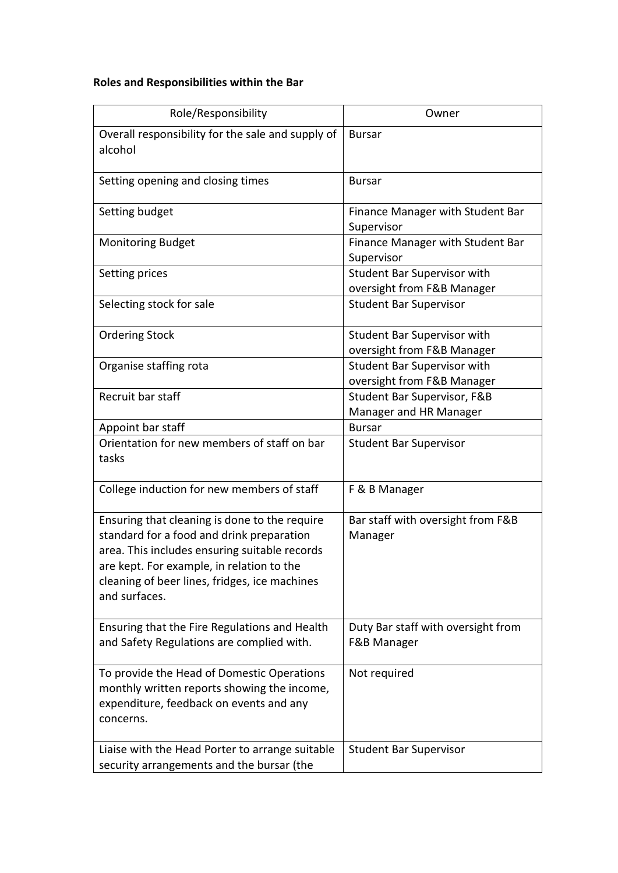# **Roles and Responsibilities within the Bar**

| Role/Responsibility                                                                                                                                                                                                                                        | Owner                                                            |
|------------------------------------------------------------------------------------------------------------------------------------------------------------------------------------------------------------------------------------------------------------|------------------------------------------------------------------|
| Overall responsibility for the sale and supply of<br>alcohol                                                                                                                                                                                               | <b>Bursar</b>                                                    |
| Setting opening and closing times                                                                                                                                                                                                                          | <b>Bursar</b>                                                    |
| Setting budget                                                                                                                                                                                                                                             | Finance Manager with Student Bar<br>Supervisor                   |
| <b>Monitoring Budget</b>                                                                                                                                                                                                                                   | Finance Manager with Student Bar<br>Supervisor                   |
| Setting prices                                                                                                                                                                                                                                             | <b>Student Bar Supervisor with</b><br>oversight from F&B Manager |
| Selecting stock for sale                                                                                                                                                                                                                                   | <b>Student Bar Supervisor</b>                                    |
| <b>Ordering Stock</b>                                                                                                                                                                                                                                      | Student Bar Supervisor with<br>oversight from F&B Manager        |
| Organise staffing rota                                                                                                                                                                                                                                     | <b>Student Bar Supervisor with</b><br>oversight from F&B Manager |
| Recruit bar staff                                                                                                                                                                                                                                          | Student Bar Supervisor, F&B<br>Manager and HR Manager            |
| Appoint bar staff                                                                                                                                                                                                                                          | <b>Bursar</b>                                                    |
| Orientation for new members of staff on bar<br>tasks                                                                                                                                                                                                       | <b>Student Bar Supervisor</b>                                    |
| College induction for new members of staff                                                                                                                                                                                                                 | F & B Manager                                                    |
| Ensuring that cleaning is done to the require<br>standard for a food and drink preparation<br>area. This includes ensuring suitable records<br>are kept. For example, in relation to the<br>cleaning of beer lines, fridges, ice machines<br>and surfaces. | Bar staff with oversight from F&B<br>Manager                     |
| Ensuring that the Fire Regulations and Health<br>and Safety Regulations are complied with.                                                                                                                                                                 | Duty Bar staff with oversight from<br>F&B Manager                |
| To provide the Head of Domestic Operations<br>monthly written reports showing the income,<br>expenditure, feedback on events and any<br>concerns.                                                                                                          | Not required                                                     |
| Liaise with the Head Porter to arrange suitable<br>security arrangements and the bursar (the                                                                                                                                                               | <b>Student Bar Supervisor</b>                                    |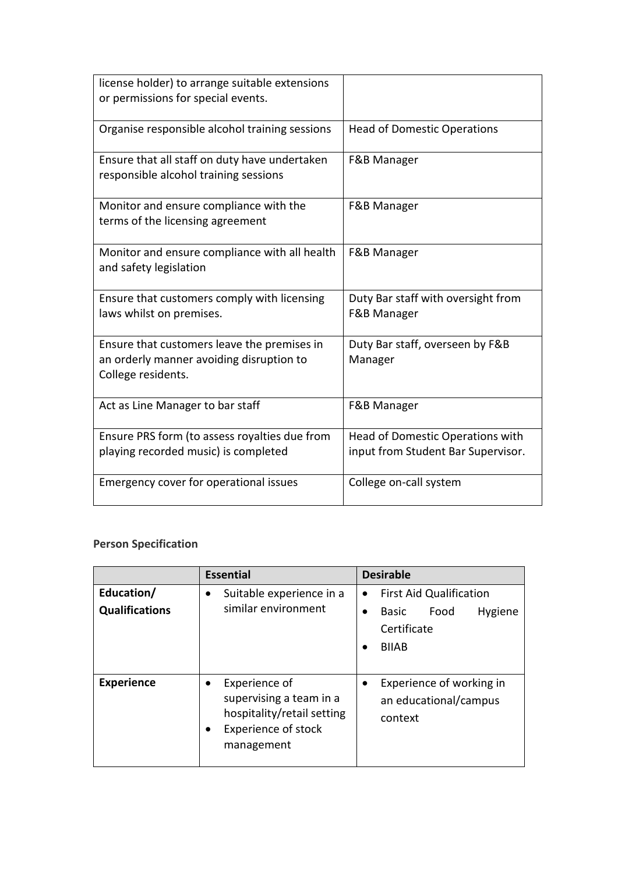| license holder) to arrange suitable extensions<br>or permissions for special events.                          |                                                                        |
|---------------------------------------------------------------------------------------------------------------|------------------------------------------------------------------------|
| Organise responsible alcohol training sessions                                                                | <b>Head of Domestic Operations</b>                                     |
| Ensure that all staff on duty have undertaken<br>responsible alcohol training sessions                        | F&B Manager                                                            |
| Monitor and ensure compliance with the<br>terms of the licensing agreement                                    | <b>F&amp;B Manager</b>                                                 |
| Monitor and ensure compliance with all health<br>and safety legislation                                       | F&B Manager                                                            |
| Ensure that customers comply with licensing<br>laws whilst on premises.                                       | Duty Bar staff with oversight from<br>F&B Manager                      |
| Ensure that customers leave the premises in<br>an orderly manner avoiding disruption to<br>College residents. | Duty Bar staff, overseen by F&B<br>Manager                             |
| Act as Line Manager to bar staff                                                                              | F&B Manager                                                            |
| Ensure PRS form (to assess royalties due from<br>playing recorded music) is completed                         | Head of Domestic Operations with<br>input from Student Bar Supervisor. |
| Emergency cover for operational issues                                                                        | College on-call system                                                 |

# **Person Specification**

|                                     | <b>Essential</b>                                                                                                                             | <b>Desirable</b>                                                                                              |
|-------------------------------------|----------------------------------------------------------------------------------------------------------------------------------------------|---------------------------------------------------------------------------------------------------------------|
| Education/<br><b>Qualifications</b> | Suitable experience in a<br>$\bullet$<br>similar environment                                                                                 | <b>First Aid Qualification</b><br>$\bullet$<br>Food<br>Hygiene<br><b>Basic</b><br>Certificate<br><b>BIIAB</b> |
| <b>Experience</b>                   | Experience of<br>$\bullet$<br>supervising a team in a<br>hospitality/retail setting<br><b>Experience of stock</b><br>$\bullet$<br>management | Experience of working in<br>an educational/campus<br>context                                                  |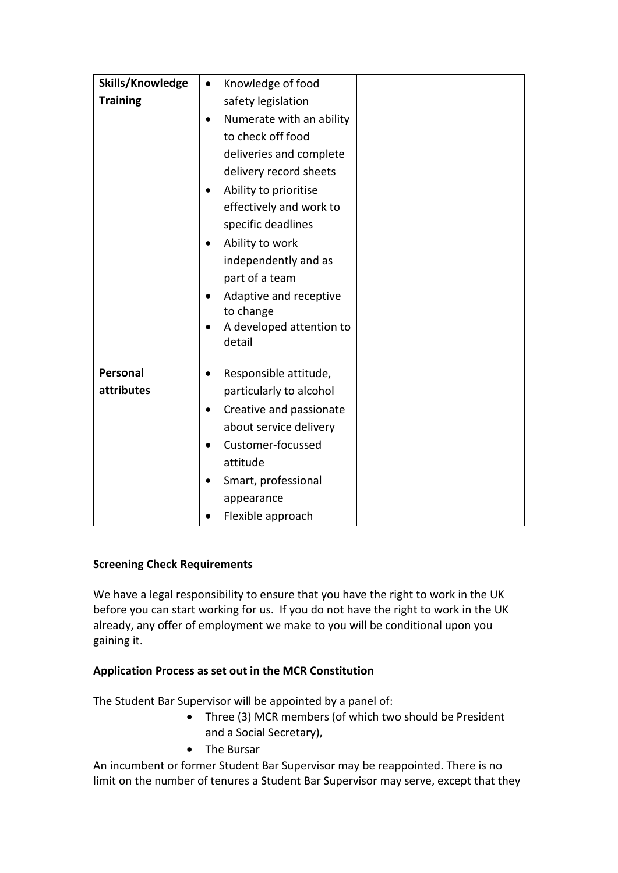| Skills/Knowledge<br>Knowledge of food<br>$\bullet$<br><b>Training</b><br>safety legislation<br>Numerate with an ability<br>to check off food<br>deliveries and complete<br>delivery record sheets<br>Ability to prioritise<br>effectively and work to<br>specific deadlines<br>Ability to work<br>independently and as<br>part of a team<br>Adaptive and receptive<br>to change<br>A developed attention to<br>detail<br>Personal<br>Responsible attitude,<br>$\bullet$<br>attributes<br>particularly to alcohol<br>Creative and passionate<br>about service delivery<br>Customer-focussed<br>attitude<br>Smart, professional |  |
|-------------------------------------------------------------------------------------------------------------------------------------------------------------------------------------------------------------------------------------------------------------------------------------------------------------------------------------------------------------------------------------------------------------------------------------------------------------------------------------------------------------------------------------------------------------------------------------------------------------------------------|--|
|                                                                                                                                                                                                                                                                                                                                                                                                                                                                                                                                                                                                                               |  |
|                                                                                                                                                                                                                                                                                                                                                                                                                                                                                                                                                                                                                               |  |
|                                                                                                                                                                                                                                                                                                                                                                                                                                                                                                                                                                                                                               |  |
|                                                                                                                                                                                                                                                                                                                                                                                                                                                                                                                                                                                                                               |  |
|                                                                                                                                                                                                                                                                                                                                                                                                                                                                                                                                                                                                                               |  |
|                                                                                                                                                                                                                                                                                                                                                                                                                                                                                                                                                                                                                               |  |
|                                                                                                                                                                                                                                                                                                                                                                                                                                                                                                                                                                                                                               |  |
|                                                                                                                                                                                                                                                                                                                                                                                                                                                                                                                                                                                                                               |  |
|                                                                                                                                                                                                                                                                                                                                                                                                                                                                                                                                                                                                                               |  |
|                                                                                                                                                                                                                                                                                                                                                                                                                                                                                                                                                                                                                               |  |
|                                                                                                                                                                                                                                                                                                                                                                                                                                                                                                                                                                                                                               |  |
|                                                                                                                                                                                                                                                                                                                                                                                                                                                                                                                                                                                                                               |  |
|                                                                                                                                                                                                                                                                                                                                                                                                                                                                                                                                                                                                                               |  |
|                                                                                                                                                                                                                                                                                                                                                                                                                                                                                                                                                                                                                               |  |
|                                                                                                                                                                                                                                                                                                                                                                                                                                                                                                                                                                                                                               |  |
|                                                                                                                                                                                                                                                                                                                                                                                                                                                                                                                                                                                                                               |  |
|                                                                                                                                                                                                                                                                                                                                                                                                                                                                                                                                                                                                                               |  |
|                                                                                                                                                                                                                                                                                                                                                                                                                                                                                                                                                                                                                               |  |
|                                                                                                                                                                                                                                                                                                                                                                                                                                                                                                                                                                                                                               |  |
|                                                                                                                                                                                                                                                                                                                                                                                                                                                                                                                                                                                                                               |  |
|                                                                                                                                                                                                                                                                                                                                                                                                                                                                                                                                                                                                                               |  |
|                                                                                                                                                                                                                                                                                                                                                                                                                                                                                                                                                                                                                               |  |
|                                                                                                                                                                                                                                                                                                                                                                                                                                                                                                                                                                                                                               |  |
| appearance                                                                                                                                                                                                                                                                                                                                                                                                                                                                                                                                                                                                                    |  |
| Flexible approach                                                                                                                                                                                                                                                                                                                                                                                                                                                                                                                                                                                                             |  |

## **Screening Check Requirements**

We have a legal responsibility to ensure that you have the right to work in the UK before you can start working for us. If you do not have the right to work in the UK already, any offer of employment we make to you will be conditional upon you gaining it.

## **Application Process as set out in the MCR Constitution**

The Student Bar Supervisor will be appointed by a panel of:

- Three (3) MCR members (of which two should be President and a Social Secretary),
- The Bursar

An incumbent or former Student Bar Supervisor may be reappointed. There is no limit on the number of tenures a Student Bar Supervisor may serve, except that they